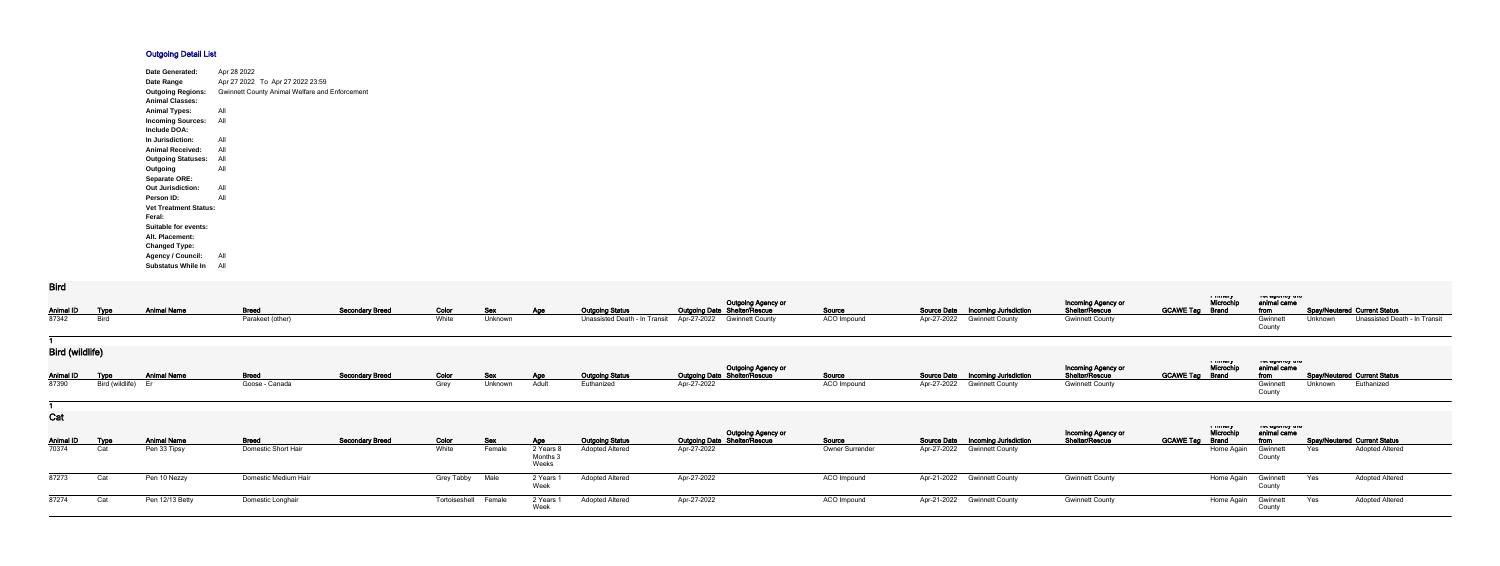## **Outgoing Detail List**

| <b>Date Generated:</b>       | Apr 28 2022                                           |
|------------------------------|-------------------------------------------------------|
| Date Range                   | Apr 27 2022 To Apr 27 2022 23:59                      |
| <b>Outgoing Regions:</b>     | <b>Gwinnett County Animal Welfare and Enforcement</b> |
| <b>Animal Classes:</b>       |                                                       |
| <b>Animal Types:</b>         | All                                                   |
| <b>Incoming Sources:</b>     | All                                                   |
| Include DOA:                 |                                                       |
| In Jurisdiction:             | All                                                   |
| <b>Animal Received:</b>      | All                                                   |
| <b>Outgoing Statuses:</b>    | All                                                   |
| Outgoing                     | All                                                   |
| <b>Separate ORE:</b>         |                                                       |
| <b>Out Jurisdiction:</b>     | All                                                   |
| <b>Person ID:</b>            | All                                                   |
| <b>Vet Treatment Status:</b> |                                                       |
| Feral:                       |                                                       |
| <b>Suitable for events:</b>  |                                                       |
| Alt. Placement:              |                                                       |
| <b>Changed Type:</b>         |                                                       |
| <b>Agency / Council:</b>     | All                                                   |
| <b>Substatus While In</b>    | All                                                   |

## **Bird**

| <b>Animal ID</b>        | <b>Type</b>     | <b>Animal Name</b> | <b>Breed</b>               | <b>Secondary Breed</b> | Color                | <u>Sex</u> | <b>Age</b>                  | <b>Outgoing Status</b>        |             | <b>Outgoing Agency or</b><br><b>Outgoing Date Shelter/Rescue</b> | Source          | <b>Source Date</b> | <b>Incoming Jurisdiction</b>             | Incoming Agency or<br>Shelter/Rescue | <b>GCAWE Tag Brand</b> | i musiy<br>Microchip                 | ו סג טשטווטץ עווט<br>animal came<br>from |         | <b>Spay/Neutered Current Status</b> |
|-------------------------|-----------------|--------------------|----------------------------|------------------------|----------------------|------------|-----------------------------|-------------------------------|-------------|------------------------------------------------------------------|-----------------|--------------------|------------------------------------------|--------------------------------------|------------------------|--------------------------------------|------------------------------------------|---------|-------------------------------------|
| 87342                   | <b>Bird</b>     |                    | Parakeet (other)           |                        | White                | Unknown    |                             | Unassisted Death - In Transit | Apr-27-2022 | <b>Gwinnett County</b>                                           | ACO Impound     | Apr-27-2022        | <b>Gwinnett County</b>                   | <b>Gwinnett County</b>               |                        |                                      | Gwinnet<br>County                        | Unknown | Unassisted Death - In Transit       |
|                         |                 |                    |                            |                        |                      |            |                             |                               |             |                                                                  |                 |                    |                                          |                                      |                        |                                      |                                          |         |                                     |
| <b>Bird (wildlife)</b>  |                 |                    |                            |                        |                      |            |                             |                               |             |                                                                  |                 |                    |                                          |                                      |                        |                                      |                                          |         |                                     |
| <b>Animal ID</b>        | <b>Type</b>     | <b>Animal Name</b> | <b>Breed</b>               | <b>Secondary Breed</b> | Color                | Sex        | <b>Age</b>                  | <b>Outgoing Status</b>        |             | Outgoing Agency or<br>Outgoing Date Shelter/Rescue               | Source          |                    | <b>Source Date Incoming Jurisdiction</b> | Incoming Agency or<br>Shelter/Rescue | <b>GCAWE Tag Brand</b> | ر ۱٬۰۰۰٬۰۰۰<br>Microchip             | ייוי עשטייט אי<br>animal came<br>from    |         | <b>Spay/Neutered Current Status</b> |
| 87390                   | Bird (wildlife) | Er                 | Goose - Canada             |                        | Grey                 | Unknown    | Adult                       | Euthanized                    | Apr-27-2022 |                                                                  | ACO Impound     | Apr-27-2022        | <b>Gwinnett County</b>                   | <b>Gwinnett County</b>               |                        |                                      | Gwinnet<br>County                        | Unknown | Euthanized                          |
|                         |                 |                    |                            |                        |                      |            |                             |                               |             |                                                                  |                 |                    |                                          |                                      |                        |                                      |                                          |         |                                     |
| Cat<br><b>Animal ID</b> | <u>Type</u>     | <b>Animal Name</b> | <b>Breed</b>               | <b>Secondary Breed</b> | Color                | <u>Sex</u> | <b>Age</b>                  | <b>Outgoing Status</b>        |             | Outgoing Agency or<br>Outgoing Date Shelter/Rescue               | Source          | <b>Source Date</b> | <b>Incoming Jurisdiction</b>             | Incoming Agency or<br>Shelter/Rescue | <b>GCAWE Tag</b>       | i musiq<br>Microchip<br><b>Brand</b> | ו סג טשטווטץ נווט<br>animal came<br>from |         | <b>Spay/Neutered Current Status</b> |
| 70374                   | Cat             | Pen 33 Tipsy       | <b>Domestic Short Hair</b> |                        | White                | Female     | 2 Years<br>Months:<br>Weeks | <b>Adopted Altered</b>        | Apr-27-2022 |                                                                  | Owner Surrender | Apr-27-2022        | <b>Gwinnett County</b>                   |                                      |                        | Home Again                           | Gwinnet<br>County                        | Yes     | <b>Adopted Altered</b>              |
| 87273                   | Cat             | Pen 10 Nezzy       | Domestic Medium Hair       |                        | <b>Grey Tabby</b>    | Male       | 2 Years<br>Week             | <b>Adopted Altered</b>        | Apr-27-2022 |                                                                  | ACO Impound     | Apr-21-2022        | <b>Gwinnett County</b>                   | <b>Gwinnett County</b>               |                        | Home Again                           | Gwinnett<br>County                       | Yes     | <b>Adopted Altered</b>              |
| 87274                   | Cat             | Pen 12/13 Betty    | Domestic Longhair          |                        | Tortoiseshell Female |            | 2 Years<br>Week             | <b>Adopted Altered</b>        | Apr-27-2022 |                                                                  | ACO Impound     |                    | Apr-21-2022 Gwinnett County              | <b>Gwinnett County</b>               |                        | Home Again                           | Gwinnett<br>County                       | Yes     | <b>Adopted Altered</b>              |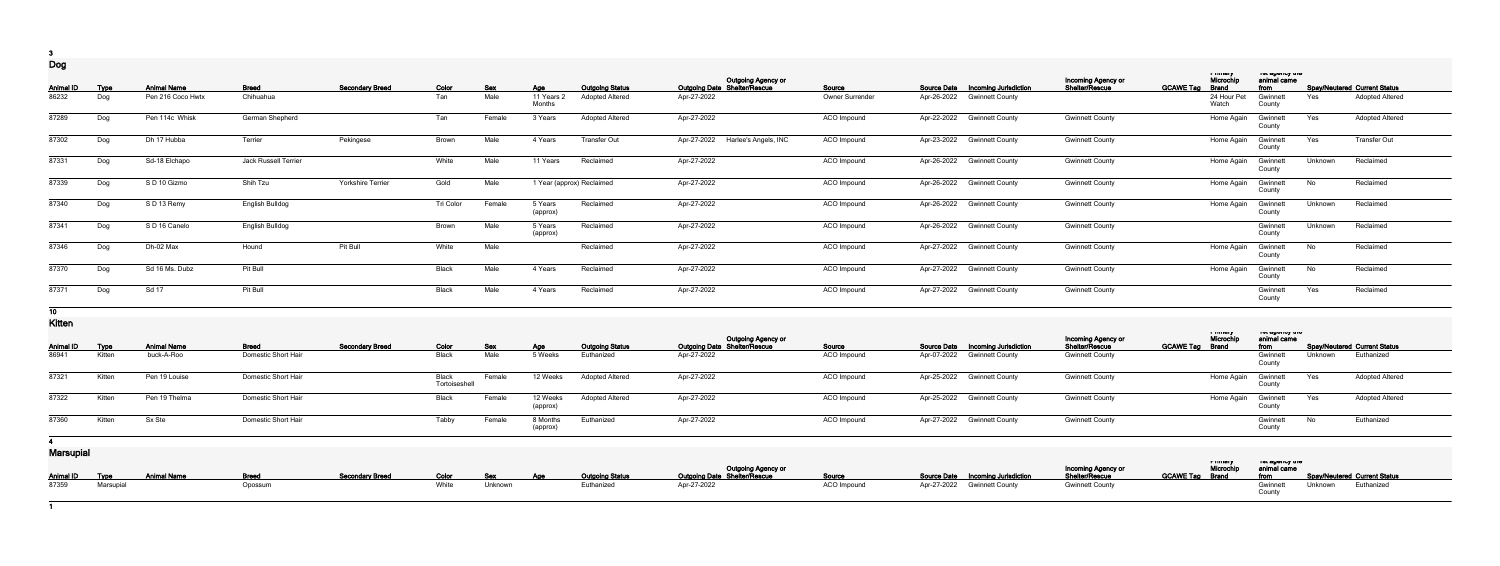**3 Dog**

| ∽∽ອ              |                    |                    |                      |                        |              |                    |                                    |                                                  |                                                    |                 |                                                    |                                      |                                                           |                                 |                |                                                               |
|------------------|--------------------|--------------------|----------------------|------------------------|--------------|--------------------|------------------------------------|--------------------------------------------------|----------------------------------------------------|-----------------|----------------------------------------------------|--------------------------------------|-----------------------------------------------------------|---------------------------------|----------------|---------------------------------------------------------------|
| <b>Animal ID</b> |                    | <b>Animal Name</b> | <b>Breed</b>         | <b>Secondary Breed</b> |              |                    |                                    |                                                  | Outgoing Agency or<br>Outgoing Date Shelter/Rescue | Source          | <b>Source Date</b><br><b>Incoming Jurisdiction</b> | Incoming Agency or<br>Shelter/Rescue | i minury<br>Microchip<br><b>GCAWE Tag</b><br><b>Brand</b> | יוס נשפטווט אויס<br>animal came |                |                                                               |
| 86232            | <b>Type</b><br>Dog | Pen 216 Coco Hwtx  | Chihuahua            |                        | Color<br>Tan | <u>Sex</u><br>Male | <u>Age</u><br>11 Years 2<br>Months | <b>Outgoing Status</b><br><b>Adopted Altered</b> | Apr-27-2022                                        | Owner Surrender | Apr-26-2022<br><b>Gwinnett County</b>              |                                      | 24 Hour Pet<br>Watch                                      | from<br>Gwinnet<br>County       | Yes            | <b>Spay/Neutered Current Status</b><br><b>Adopted Altered</b> |
| 87289            | Dog                | Pen 114c Whisk     | German Shepherd      |                        | Tan          | Female             | 3 Years                            | <b>Adopted Altered</b>                           | Apr-27-2022                                        | ACO Impound     | Apr-22-2022 Gwinnett County                        | <b>Gwinnett County</b>               | Home Again                                                | Gwinnet<br>County               | Yes            | <b>Adopted Altered</b>                                        |
| 87302            | Dog                | Dh 17 Hubba        | Terrier              | Pekingese              | <b>Brown</b> | Male               | 4 Years                            | <b>Transfer Out</b>                              | Apr-27-2022<br>Harlee's Angels, INC                | ACO Impound     | Apr-23-2022<br><b>Gwinnett County</b>              | <b>Gwinnett County</b>               | Home Again                                                | Gwinnet<br>County               | Yes            | <b>Transfer Out</b>                                           |
| 87331            | Dog                | Sd-18 Elchapo      | Jack Russell Terrier |                        | White        | Male               | 11 Years                           | Reclaimed                                        | Apr-27-2022                                        | ACO Impound     | Apr-26-2022 Gwinnett County                        | <b>Gwinnett County</b>               | Home Again                                                | Gwinnet<br>County               | Unknown        | Reclaimed                                                     |
| 87339            | Dog                | S D 10 Gizmo       | Shih Tzu             | Yorkshire Terrier      | Gold         | Male               |                                    | 1 Year (approx) Reclaimed                        | Apr-27-2022                                        | ACO Impound     | Apr-26-2022 Gwinnett County                        | <b>Gwinnett County</b>               | Home Again                                                | Gwinnett<br>County              | No             | Reclaimed                                                     |
| 87340            | Dog                | S D 13 Remy        | English Bulldog      |                        | Tri Color    | Female             | 5 Years<br>(approx)                | Reclaimed                                        | Apr-27-2022                                        | ACO Impound     | Apr-26-2022<br><b>Gwinnett County</b>              | <b>Gwinnett County</b>               | Home Again                                                | Gwinnet<br>County               | <b>Unknown</b> | Reclaimed                                                     |
| 87341            | Dog                | S D 16 Canelo      | English Bulldog      |                        | Brown        | Male               | 5 Years<br>(approx)                | Reclaimed                                        | Apr-27-2022                                        | ACO Impound     | Apr-26-2022 Gwinnett County                        | <b>Gwinnett County</b>               |                                                           | Gwinnet<br>County               | Unknown        | Reclaimed                                                     |
| 87346            | Dog                | Dh-02 Max          | Hound                | Pit Bull               | White        | Male               |                                    | Reclaimed                                        | Apr-27-2022                                        | ACO Impound     | Apr-27-2022 Gwinnett County                        | <b>Gwinnett County</b>               | Home Again                                                | Gwinnet<br>County               | No             | Reclaimed                                                     |
| 87370            | Dog                | Sd 16 Ms. Dubz     | Pit Bull             |                        | Black        | Male               | 4 Years                            | Reclaimed                                        | Apr-27-2022                                        | ACO Impound     | Apr-27-2022<br><b>Gwinnett County</b>              | <b>Gwinnett County</b>               | Home Again                                                | Gwinnett<br>County              | No             | Reclaimed                                                     |
| 87371            | Dog                | Sd 17              | Pit Bull             |                        | Black        | Male               | 4 Years                            | Reclaimed                                        | Apr-27-2022                                        | ACO Impound     | Apr-27-2022 Gwinnett County                        | <b>Gwinnett County</b>               |                                                           | Gwinnet<br>County               | Yes            | Reclaimed                                                     |
|                  |                    |                    |                      |                        |              |                    |                                    |                                                  |                                                    |                 |                                                    |                                      |                                                           |                                 |                |                                                               |

**10**

**Kitten**

| <b>Animal ID</b> | <u>Type</u> | <b>Animal Name</b> | <b>Breed</b>        | <b>Secondary Breed</b> | Color                  | Sex    | Age                 | <b>Outgoing Status</b> | <b>Outgoing Agency or</b><br><b>Outgoing Date Shelter/Rescue</b> | <b>Source</b>      | <b>Source Date Incoming Jurisdiction</b> | Incoming Agency or<br>Shelter/Rescue | i muury<br>Microch.<br><b>GCAWE Tag Brand</b> | ו סג טשטווטץ גווט<br>animal came<br>from |         | <b>Spay/Neutered Current Status</b> |
|------------------|-------------|--------------------|---------------------|------------------------|------------------------|--------|---------------------|------------------------|------------------------------------------------------------------|--------------------|------------------------------------------|--------------------------------------|-----------------------------------------------|------------------------------------------|---------|-------------------------------------|
| 86941            | Kitten      | buck-A-Roo         | Domestic Short Hair |                        | Black                  | Male   | 5 Weeks             | Euthanized             | Apr-27-2022                                                      | <b>ACO Impound</b> | Apr-07-2022 Gwinnett County              | <b>Gwinnett County</b>               |                                               | Gwinnett<br>County                       | Unknown | Euthanized                          |
| 87321            | Kitten      | Pen 19 Louise      | Domestic Short Hair |                        | Black<br>Tortoiseshell | Female | 12 Weeks            | <b>Adopted Altered</b> | Apr-27-2022                                                      | ACO Impound        | Apr-25-2022 Gwinnett County              | <b>Gwinnett County</b>               | Home Again                                    | Gwinnett                                 | Yes     | <b>Adopted Altered</b>              |
| 87322            | Kitten      | Pen 19 Thelma      | Domestic Short Hair |                        | Black                  | Female | 12 Weeks<br>(approx | Adopted Altered        | Apr-27-2022                                                      | ACO Impound        | Apr-25-2022 Gwinnett County              | <b>Gwinnett County</b>               | Home Again                                    | Gwinnett                                 | Yes     | <b>Adopted Altered</b>              |
| 87360            | Kitten      | Sx Ste             | Domestic Short Hair |                        | Tabby                  | Female | 8 Months<br>(approx | Euthanized             | Apr-27-2022                                                      | ACO Impound        | Apr-27-2022 Gwinnett County              | <b>Gwinnett County</b>               |                                               | Gwinnett<br>County                       | No.     | Euthanized                          |

**4**

**Marsupial**

| <b>TYIUI JUPIUI</b> |                                  |         |                        |       |                                   |                        |                                                    |             |                             |                                          |                                              |                        |                                   |                                                     |
|---------------------|----------------------------------|---------|------------------------|-------|-----------------------------------|------------------------|----------------------------------------------------|-------------|-----------------------------|------------------------------------------|----------------------------------------------|------------------------|-----------------------------------|-----------------------------------------------------|
|                     |                                  |         |                        |       |                                   |                        | Outgoing Agency or<br>Cutgoing Date Shelter/Rescue |             |                             |                                          | <b>Incoming Agency or<br/>Shelter/Rescue</b> | Microchip              | ו סג טשטווטץ נוויס<br>animal came |                                                     |
|                     | Animal ID Type Animal Name Breed |         | <b>Secondary Breed</b> |       | <b>Example 2018</b> Color Sex Age | <b>Outgoing Status</b> |                                                    | Source      |                             | <b>Source Date Incoming Jurisdiction</b> |                                              | <b>GCAWE Tag Brand</b> |                                   | <b>Example 12 From Spay/Neutered Current Status</b> |
| 87359 Marsupial     |                                  | Opossum |                        | White | Unknown                           | Euthanized             | Apr-27-2022                                        | ACO Impound | Apr-27-2022 Gwinnett County |                                          | <b>Gwinnett County</b>                       |                        | Gwinnett                          | Unknown Euthanized                                  |

**1**